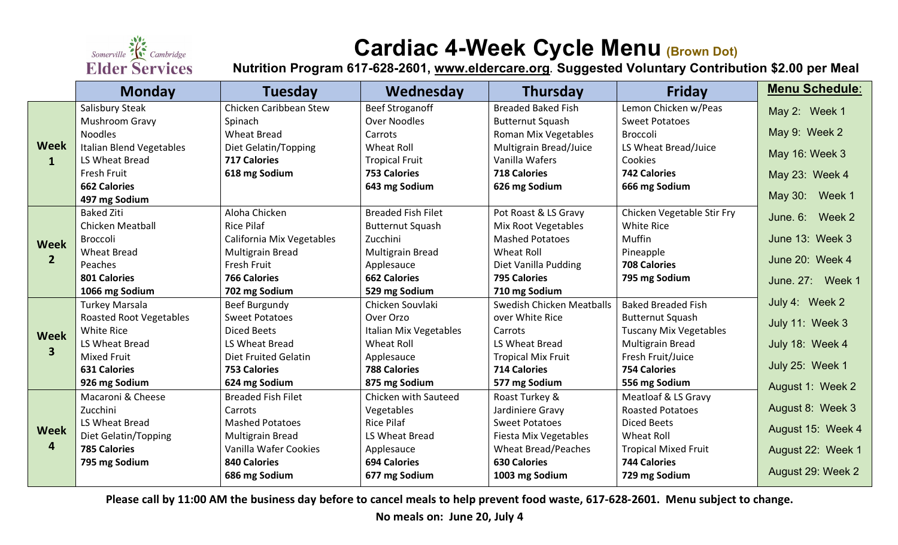

## **Cardiac 4-Week Cycle Menu (Brown Dot)**

**Nutrition Program 617-628-2601, [www.eldercare.org](http://www.eldercare.org/). Suggested Voluntary Contribution \$2.00 per Meal**

|                               | <b>Monday</b>                   | <b>Tuesday</b>              | Wednesday                 | <b>Thursday</b>            | <b>Friday</b>                 | <b>Menu Schedule:</b> |
|-------------------------------|---------------------------------|-----------------------------|---------------------------|----------------------------|-------------------------------|-----------------------|
| <b>Week</b><br>$\mathbf{1}$   | Salisbury Steak                 | Chicken Caribbean Stew      | <b>Beef Stroganoff</b>    | <b>Breaded Baked Fish</b>  | Lemon Chicken w/Peas          | May 2: Week 1         |
|                               | Mushroom Gravy                  | Spinach                     | <b>Over Noodles</b>       | <b>Butternut Squash</b>    | <b>Sweet Potatoes</b>         |                       |
|                               | <b>Noodles</b>                  | <b>Wheat Bread</b>          | Carrots                   | Roman Mix Vegetables       | Broccoli                      | May 9: Week 2         |
|                               | <b>Italian Blend Vegetables</b> | Diet Gelatin/Topping        | Wheat Roll                | Multigrain Bread/Juice     | LS Wheat Bread/Juice          | May 16: Week 3        |
|                               | LS Wheat Bread                  | <b>717 Calories</b>         | <b>Tropical Fruit</b>     | Vanilla Wafers             | Cookies                       |                       |
|                               | <b>Fresh Fruit</b>              | 618 mg Sodium               | <b>753 Calories</b>       | <b>718 Calories</b>        | <b>742 Calories</b>           | May 23: Week 4        |
|                               | <b>662 Calories</b>             |                             | 643 mg Sodium             | 626 mg Sodium              | 666 mg Sodium                 |                       |
|                               | 497 mg Sodium                   |                             |                           |                            |                               | May 30: Week 1        |
| <b>Week</b><br>2 <sup>2</sup> | <b>Baked Ziti</b>               | Aloha Chicken               | <b>Breaded Fish Filet</b> | Pot Roast & LS Gravy       | Chicken Vegetable Stir Fry    | June, 6: Week 2       |
|                               | <b>Chicken Meatball</b>         | <b>Rice Pilaf</b>           | <b>Butternut Squash</b>   | Mix Root Vegetables        | <b>White Rice</b>             |                       |
|                               | <b>Broccoli</b>                 | California Mix Vegetables   | Zucchini                  | <b>Mashed Potatoes</b>     | <b>Muffin</b>                 | June 13: Week 3       |
|                               | <b>Wheat Bread</b>              | <b>Multigrain Bread</b>     | <b>Multigrain Bread</b>   | Wheat Roll                 | Pineapple                     | June 20: Week 4       |
|                               | Peaches                         | <b>Fresh Fruit</b>          | Applesauce                | Diet Vanilla Pudding       | <b>708 Calories</b>           |                       |
|                               | 801 Calories                    | <b>766 Calories</b>         | <b>662 Calories</b>       | <b>795 Calories</b>        | 795 mg Sodium                 | June. 27: Week 1      |
|                               | 1066 mg Sodium                  | 702 mg Sodium               | 529 mg Sodium             | 710 mg Sodium              |                               |                       |
| <b>Week</b><br>3              | <b>Turkey Marsala</b>           | Beef Burgundy               | Chicken Souvlaki          | Swedish Chicken Meatballs  | <b>Baked Breaded Fish</b>     | July 4: Week 2        |
|                               | <b>Roasted Root Vegetables</b>  | <b>Sweet Potatoes</b>       | Over Orzo                 | over White Rice            | <b>Butternut Squash</b>       | July 11: Week 3       |
|                               | White Rice                      | Diced Beets                 | Italian Mix Vegetables    | Carrots                    | <b>Tuscany Mix Vegetables</b> |                       |
|                               | LS Wheat Bread                  | LS Wheat Bread              | Wheat Roll                | LS Wheat Bread             | <b>Multigrain Bread</b>       | July 18: Week 4       |
|                               | <b>Mixed Fruit</b>              | <b>Diet Fruited Gelatin</b> | Applesauce                | <b>Tropical Mix Fruit</b>  | Fresh Fruit/Juice             | July 25: Week 1       |
|                               | <b>631 Calories</b>             | <b>753 Calories</b>         | <b>788 Calories</b>       | <b>714 Calories</b>        | <b>754 Calories</b>           |                       |
|                               | 926 mg Sodium                   | 624 mg Sodium               | 875 mg Sodium             | 577 mg Sodium              | 556 mg Sodium                 | August 1: Week 2      |
| <b>Week</b><br>4              | Macaroni & Cheese               | <b>Breaded Fish Filet</b>   | Chicken with Sauteed      | Roast Turkey &             | Meatloaf & LS Gravy           |                       |
|                               | Zucchini                        | Carrots                     | Vegetables                | Jardiniere Gravy           | <b>Roasted Potatoes</b>       | August 8: Week 3      |
|                               | LS Wheat Bread                  | <b>Mashed Potatoes</b>      | <b>Rice Pilaf</b>         | <b>Sweet Potatoes</b>      | Diced Beets                   | August 15: Week 4     |
|                               | Diet Gelatin/Topping            | Multigrain Bread            | LS Wheat Bread            | Fiesta Mix Vegetables      | <b>Wheat Roll</b>             |                       |
|                               | <b>785 Calories</b>             | Vanilla Wafer Cookies       | Applesauce                | <b>Wheat Bread/Peaches</b> | <b>Tropical Mixed Fruit</b>   | August 22: Week 1     |
|                               | 795 mg Sodium                   | <b>840 Calories</b>         | <b>694 Calories</b>       | <b>630 Calories</b>        | <b>744 Calories</b>           | August 29: Week 2     |
|                               |                                 | 686 mg Sodium               | 677 mg Sodium             | 1003 mg Sodium             | 729 mg Sodium                 |                       |

**Please call by 11:00 AM the business day before to cancel meals to help prevent food waste, 617-628-2601. Menu subject to change.** 

**No meals on: June 20, July 4**